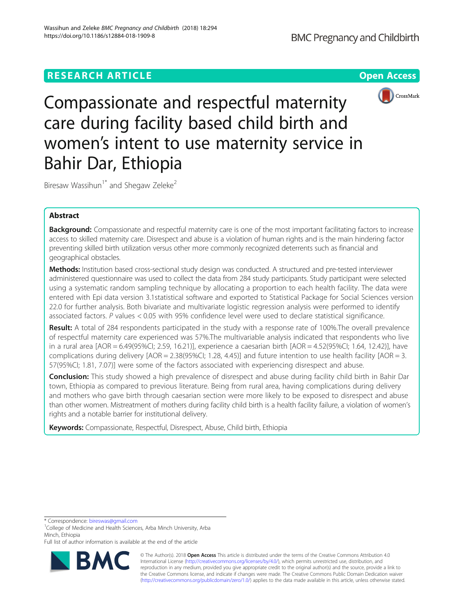## **RESEARCH ARTICLE Example 2018 12:30 THE Open Access**



Compassionate and respectful maternity care during facility based child birth and women's intent to use maternity service in Bahir Dar, Ethiopia

Biresaw Wassihun<sup>1\*</sup> and Shegaw Zeleke<sup>2</sup>

## Abstract

Background: Compassionate and respectful maternity care is one of the most important facilitating factors to increase access to skilled maternity care. Disrespect and abuse is a violation of human rights and is the main hindering factor preventing skilled birth utilization versus other more commonly recognized deterrents such as financial and geographical obstacles.

Methods: Institution based cross-sectional study design was conducted. A structured and pre-tested interviewer administered questionnaire was used to collect the data from 284 study participants. Study participant were selected using a systematic random sampling technique by allocating a proportion to each health facility. The data were entered with Epi data version 3.1statistical software and exported to Statistical Package for Social Sciences version 22.0 for further analysis. Both bivariate and multivariate logistic regression analysis were performed to identify associated factors. P values < 0.05 with 95% confidence level were used to declare statistical significance.

Result: A total of 284 respondents participated in the study with a response rate of 100%. The overall prevalence of respectful maternity care experienced was 57%.The multivariable analysis indicated that respondents who live in a rural area [AOR = 6.49(95%CI; 2.59, 16.21)], experience a caesarian birth [AOR = 4.52(95%CI; 1.64, 12.42)], have complications during delivery [AOR = 2.38(95%CI; 1.28, 4.45)] and future intention to use health facility [AOR = 3. 57(95%CI; 1.81, 7.07)] were some of the factors associated with experiencing disrespect and abuse.

Conclusion: This study showed a high prevalence of disrespect and abuse during facility child birth in Bahir Dar town, Ethiopia as compared to previous literature. Being from rural area, having complications during delivery and mothers who gave birth through caesarian section were more likely to be exposed to disrespect and abuse than other women. Mistreatment of mothers during facility child birth is a health facility failure, a violation of women's rights and a notable barrier for institutional delivery.

Keywords: Compassionate, Respectful, Disrespect, Abuse, Child birth, Ethiopia

\* Correspondence: [bireswas@gmail.com](mailto:bireswas@gmail.com) <sup>1</sup>

Full list of author information is available at the end of the article



© The Author(s). 2018 Open Access This article is distributed under the terms of the Creative Commons Attribution 4.0 International License [\(http://creativecommons.org/licenses/by/4.0/](http://creativecommons.org/licenses/by/4.0/)), which permits unrestricted use, distribution, and reproduction in any medium, provided you give appropriate credit to the original author(s) and the source, provide a link to the Creative Commons license, and indicate if changes were made. The Creative Commons Public Domain Dedication waiver [\(http://creativecommons.org/publicdomain/zero/1.0/](http://creativecommons.org/publicdomain/zero/1.0/)) applies to the data made available in this article, unless otherwise stated.

<sup>&</sup>lt;sup>1</sup>College of Medicine and Health Sciences, Arba Minch University, Arba Minch, Ethiopia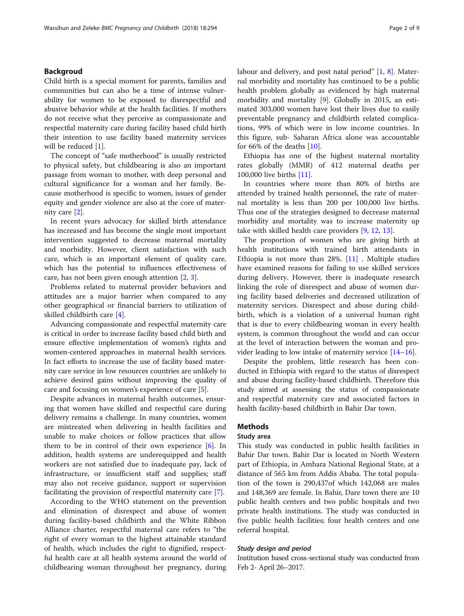## Backgroud

Child birth is a special moment for parents, families and communities but can also be a time of intense vulnerability for women to be exposed to disrespectful and abusive behavior while at the health facilities. If mothers do not receive what they perceive as compassionate and respectful maternity care during facility based child birth their intention to use facility based maternity services will be reduced [\[1](#page-8-0)].

The concept of "safe motherhood" is usually restricted to physical safety, but childbearing is also an important passage from woman to mother, with deep personal and cultural significance for a woman and her family. Because motherhood is specific to women, issues of gender equity and gender violence are also at the core of maternity care [\[2](#page-8-0)].

In recent years advocacy for skilled birth attendance has increased and has become the single most important intervention suggested to decrease maternal mortality and morbidity. However, client satisfaction with such care, which is an important element of quality care, which has the potential to influences effectiveness of care, has not been given enough attention [[2,](#page-8-0) [3\]](#page-8-0).

Problems related to maternal provider behaviors and attitudes are a major barrier when compared to any other geographical or financial barriers to utilization of skilled childbirth care [\[4](#page-8-0)].

Advancing compassionate and respectful maternity care is critical in order to increase facility based child birth and ensure effective implementation of women's rights and women-centered approaches in maternal health services. In fact efforts to increase the use of facility based maternity care service in low resources countries are unlikely to achieve desired gains without improving the quality of care and focusing on women's experience of care [\[5](#page-8-0)].

Despite advances in maternal health outcomes, ensuring that women have skilled and respectful care during delivery remains a challenge. In many countries, women are mistreated when delivering in health facilities and unable to make choices or follow practices that allow them to be in control of their own experience [[6\]](#page-8-0). In addition, health systems are underequipped and health workers are not satisfied due to inadequate pay, lack of infrastructure, or insufficient staff and supplies; staff may also not receive guidance, support or supervision facilitating the provision of respectful maternity care [\[7](#page-8-0)].

According to the WHO statement on the prevention and elimination of disrespect and abuse of women during facility-based childbirth and the White Ribbon Alliance charter, respectful maternal care refers to "the right of every woman to the highest attainable standard of health, which includes the right to dignified, respectful health care at all health systems around the world of childbearing woman throughout her pregnancy, during labour and delivery, and post natal period" [[1,](#page-8-0) [8](#page-8-0)]. Maternal morbidity and mortality has continued to be a public health problem globally as evidenced by high maternal morbidity and mortality [\[9](#page-8-0)]. Globally in 2015, an estimated 303,000 women have lost their lives due to easily preventable pregnancy and childbirth related complications, 99% of which were in low income countries. In this figure, sub- Saharan Africa alone was accountable for 66% of the deaths  $[10]$ .

Ethiopia has one of the highest maternal mortality rates globally (MMR) of 412 maternal deaths per 100,000 live births [[11\]](#page-8-0).

In countries where more than 80% of births are attended by trained health personnel, the rate of maternal mortality is less than 200 per 100,000 live births. Thus one of the strategies designed to decrease maternal morbidity and mortality was to increase maternity up take with skilled health care providers [\[9](#page-8-0), [12](#page-8-0), [13](#page-8-0)].

The proportion of women who are giving birth at health institutions with trained birth attendants in Ethiopia is not more than 28%. [\[11\]](#page-8-0) . Multiple studies have examined reasons for failing to use skilled services during delivery. However, there is inadequate research linking the role of disrespect and abuse of women during facility based deliveries and decreased utilization of maternity services. Disrespect and abuse during childbirth, which is a violation of a universal human right that is due to every childbearing woman in every health system, is common throughout the world and can occur at the level of interaction between the woman and provider leading to low intake of maternity service [\[14](#page-8-0)–[16\]](#page-8-0).

Despite the problem, little research has been conducted in Ethiopia with regard to the status of disrespect and abuse during facility-based childbirth. Therefore this study aimed at assessing the status of compassionate and respectful maternity care and associated factors in health facility-based childbirth in Bahir Dar town.

## Methods

## Study area

This study was conducted in public health facilities in Bahir Dar town. Bahir Dar is located in North Western part of Ethiopia, in Amhara National Regional State, at a distance of 565 km from Addis Ababa. The total population of the town is 290,437of which 142,068 are males and 148,369 are female. In Bahir, Dare town there are 10 public health centers and two public hospitals and two private health institutions. The study was conducted in five public health facilities; four health centers and one referral hospital.

## Study design and period

Institution based cross-sectional study was conducted from Feb 2- April 26–2017.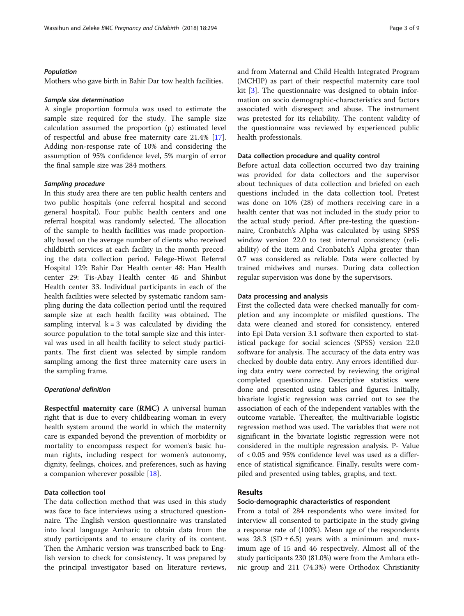## Population

Mothers who gave birth in Bahir Dar tow health facilities.

#### Sample size determination

A single proportion formula was used to estimate the sample size required for the study. The sample size calculation assumed the proportion (p) estimated level of respectful and abuse free maternity care 21.4% [\[17](#page-8-0)]. Adding non-response rate of 10% and considering the assumption of 95% confidence level, 5% margin of error the final sample size was 284 mothers.

### Sampling procedure

In this study area there are ten public health centers and two public hospitals (one referral hospital and second general hospital). Four public health centers and one referral hospital was randomly selected. The allocation of the sample to health facilities was made proportionally based on the average number of clients who received childbirth services at each facility in the month preceding the data collection period. Felege-Hiwot Referral Hospital 129: Bahir Dar Health center 48: Han Health center 29: Tis-Abay Health center 45 and Shinbut Health center 33. Individual participants in each of the health facilities were selected by systematic random sampling during the data collection period until the required sample size at each health facility was obtained. The sampling interval  $k = 3$  was calculated by dividing the source population to the total sample size and this interval was used in all health facility to select study participants. The first client was selected by simple random sampling among the first three maternity care users in the sampling frame.

#### Operational definition

Respectful maternity care (RMC) A universal human right that is due to every childbearing woman in every health system around the world in which the maternity care is expanded beyond the prevention of morbidity or mortality to encompass respect for women's basic human rights, including respect for women's autonomy, dignity, feelings, choices, and preferences, such as having a companion wherever possible [[18](#page-8-0)].

## Data collection tool

The data collection method that was used in this study was face to face interviews using a structured questionnaire. The English version questionnaire was translated into local language Amharic to obtain data from the study participants and to ensure clarity of its content. Then the Amharic version was transcribed back to English version to check for consistency. It was prepared by the principal investigator based on literature reviews, and from Maternal and Child Health Integrated Program (MCHIP) as part of their respectful maternity care tool kit [\[3](#page-8-0)]. The questionnaire was designed to obtain information on socio demographic-characteristics and factors associated with disrespect and abuse. The instrument was pretested for its reliability. The content validity of the questionnaire was reviewed by experienced public health professionals.

## Data collection procedure and quality control

Before actual data collection occurred two day training was provided for data collectors and the supervisor about techniques of data collection and briefed on each questions included in the data collection tool. Pretest was done on 10% (28) of mothers receiving care in a health center that was not included in the study prior to the actual study period. After pre-testing the questionnaire, Cronbatch's Alpha was calculated by using SPSS window version 22.0 to test internal consistency (reliability) of the item and Cronbatch's Alpha greater than 0.7 was considered as reliable. Data were collected by trained midwives and nurses. During data collection regular supervision was done by the supervisors.

## Data processing and analysis

First the collected data were checked manually for completion and any incomplete or misfiled questions. The data were cleaned and stored for consistency, entered into Epi Data version 3.1 software then exported to statistical package for social sciences (SPSS) version 22.0 software for analysis. The accuracy of the data entry was checked by double data entry. Any errors identified during data entry were corrected by reviewing the original completed questionnaire. Descriptive statistics were done and presented using tables and figures. Initially, bivariate logistic regression was carried out to see the association of each of the independent variables with the outcome variable. Thereafter, the multivariable logistic regression method was used. The variables that were not significant in the bivariate logistic regression were not considered in the multiple regression analysis. P- Value of < 0.05 and 95% confidence level was used as a difference of statistical significance. Finally, results were compiled and presented using tables, graphs, and text.

## Results

#### Socio-demographic characteristics of respondent

From a total of 284 respondents who were invited for interview all consented to participate in the study giving a response rate of (100%). Mean age of the respondents was 28.3 (SD  $\pm$  6.5) years with a minimum and maximum age of 15 and 46 respectively. Almost all of the study participants 230 (81.0%) were from the Amhara ethnic group and 211 (74.3%) were Orthodox Christianity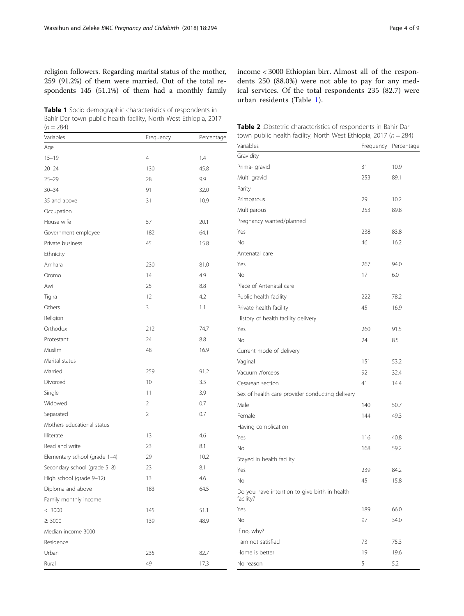<span id="page-3-0"></span>religion followers. Regarding marital status of the mother, 259 (91.2%) of them were married. Out of the total respondents 145 (51.1%) of them had a monthly family

Table 1 Socio demographic characteristics of respondents in Bahir Dar town public health facility, North West Ethiopia, 2017  $(n = 284)$ 

Variables **Frequency** Percentage Age 15–19 4 1.4 20–24 130 45.8 25–29 28 9.9 30–34 91 32.0 35 and above 31 31 10.9 Occupation House wife 57 20.1 Government employee 182 64.1 Private business 15.8 Ethnicity Amhara 230 81.0 Oromo 14 4.9 Awi 25 8.8 Tigira 12 4.2 Others 3 1.1 Religion Orthodox 212 74.7 Protestant 24 8.8 Muslim 16.9 Marital status Married 91.2 Divorced 2.5 Single 3.9 Widowed 2 0.7 Separated 2 0.7 Mothers educational status Illiterate 4.6 Read and write 23 8.1 Elementary school (grade 1–4) 29 29 10.2 Secondary school (grade 5–8) 23 8.1 High school (grade 9-12) 13 4.6 Diploma and above 183 64.5 Family monthly income < 3000 145 51.1  $\geq$  3000 48.9 Median income 3000 Residence Urban 235 82.7 Rural 17.3

income < 3000 Ethiopian birr. Almost all of the respondents 250 (88.0%) were not able to pay for any medical services. Of the total respondents 235 (82.7) were urban residents (Table 1).

| <b>Table 2</b> Obstetric characteristics of respondents in Bahir Dar |
|----------------------------------------------------------------------|
| town public health facility, North West Ethiopia, 2017 ( $n = 284$ ) |

| Frequency Percentage<br>Gravidity<br>31<br>Prima- gravid<br>10.9<br>253<br>Multi gravid<br>89.1<br>Parity<br>29<br>Primparous<br>10.2<br>Multiparous<br>253<br>89.8<br>Pregnancy wanted/planned<br>Yes<br>238<br>83.8<br>No<br>46<br>16.2<br>Antenatal care<br>Yes<br>267<br>94.0<br>No<br>17<br>6.0<br>Place of Antenatal care<br>Public health facility<br>222<br>78.2<br>Private health facility<br>45<br>16.9<br>History of health facility delivery<br>Yes<br>260<br>91.5<br>No<br>24<br>8.5<br>Current mode of delivery<br>Vaginal<br>151<br>53.2<br>Vacuum /forceps<br>92<br>32.4<br>41<br>14.4<br>Cesarean section<br>Sex of health care provider conducting delivery<br>Male<br>140<br>50.7<br>Female<br>144<br>49.3<br>Having complication<br>116<br>Yes<br>40.8<br>No<br>168<br>59.2<br>Stayed in health facility<br>Yes<br>239<br>84.2<br>45<br>15.8<br>No<br>Do you have intention to give birth in health<br>facility?<br>Yes<br>189<br>66.0<br>No<br>97<br>34.0<br>If no, why?<br>I am not satisfied<br>73<br>75.3<br>Home is better<br>19<br>19.6<br>5<br>5.2<br>No reason | town public health facility, North West Ethiopia, 2017 ( $n = 284$ ) |  |
|--------------------------------------------------------------------------------------------------------------------------------------------------------------------------------------------------------------------------------------------------------------------------------------------------------------------------------------------------------------------------------------------------------------------------------------------------------------------------------------------------------------------------------------------------------------------------------------------------------------------------------------------------------------------------------------------------------------------------------------------------------------------------------------------------------------------------------------------------------------------------------------------------------------------------------------------------------------------------------------------------------------------------------------------------------------------------------------------|----------------------------------------------------------------------|--|
|                                                                                                                                                                                                                                                                                                                                                                                                                                                                                                                                                                                                                                                                                                                                                                                                                                                                                                                                                                                                                                                                                            | Variables                                                            |  |
|                                                                                                                                                                                                                                                                                                                                                                                                                                                                                                                                                                                                                                                                                                                                                                                                                                                                                                                                                                                                                                                                                            |                                                                      |  |
|                                                                                                                                                                                                                                                                                                                                                                                                                                                                                                                                                                                                                                                                                                                                                                                                                                                                                                                                                                                                                                                                                            |                                                                      |  |
|                                                                                                                                                                                                                                                                                                                                                                                                                                                                                                                                                                                                                                                                                                                                                                                                                                                                                                                                                                                                                                                                                            |                                                                      |  |
|                                                                                                                                                                                                                                                                                                                                                                                                                                                                                                                                                                                                                                                                                                                                                                                                                                                                                                                                                                                                                                                                                            |                                                                      |  |
|                                                                                                                                                                                                                                                                                                                                                                                                                                                                                                                                                                                                                                                                                                                                                                                                                                                                                                                                                                                                                                                                                            |                                                                      |  |
|                                                                                                                                                                                                                                                                                                                                                                                                                                                                                                                                                                                                                                                                                                                                                                                                                                                                                                                                                                                                                                                                                            |                                                                      |  |
|                                                                                                                                                                                                                                                                                                                                                                                                                                                                                                                                                                                                                                                                                                                                                                                                                                                                                                                                                                                                                                                                                            |                                                                      |  |
|                                                                                                                                                                                                                                                                                                                                                                                                                                                                                                                                                                                                                                                                                                                                                                                                                                                                                                                                                                                                                                                                                            |                                                                      |  |
|                                                                                                                                                                                                                                                                                                                                                                                                                                                                                                                                                                                                                                                                                                                                                                                                                                                                                                                                                                                                                                                                                            |                                                                      |  |
|                                                                                                                                                                                                                                                                                                                                                                                                                                                                                                                                                                                                                                                                                                                                                                                                                                                                                                                                                                                                                                                                                            |                                                                      |  |
|                                                                                                                                                                                                                                                                                                                                                                                                                                                                                                                                                                                                                                                                                                                                                                                                                                                                                                                                                                                                                                                                                            |                                                                      |  |
|                                                                                                                                                                                                                                                                                                                                                                                                                                                                                                                                                                                                                                                                                                                                                                                                                                                                                                                                                                                                                                                                                            |                                                                      |  |
|                                                                                                                                                                                                                                                                                                                                                                                                                                                                                                                                                                                                                                                                                                                                                                                                                                                                                                                                                                                                                                                                                            |                                                                      |  |
|                                                                                                                                                                                                                                                                                                                                                                                                                                                                                                                                                                                                                                                                                                                                                                                                                                                                                                                                                                                                                                                                                            |                                                                      |  |
|                                                                                                                                                                                                                                                                                                                                                                                                                                                                                                                                                                                                                                                                                                                                                                                                                                                                                                                                                                                                                                                                                            |                                                                      |  |
|                                                                                                                                                                                                                                                                                                                                                                                                                                                                                                                                                                                                                                                                                                                                                                                                                                                                                                                                                                                                                                                                                            |                                                                      |  |
|                                                                                                                                                                                                                                                                                                                                                                                                                                                                                                                                                                                                                                                                                                                                                                                                                                                                                                                                                                                                                                                                                            |                                                                      |  |
|                                                                                                                                                                                                                                                                                                                                                                                                                                                                                                                                                                                                                                                                                                                                                                                                                                                                                                                                                                                                                                                                                            |                                                                      |  |
|                                                                                                                                                                                                                                                                                                                                                                                                                                                                                                                                                                                                                                                                                                                                                                                                                                                                                                                                                                                                                                                                                            |                                                                      |  |
|                                                                                                                                                                                                                                                                                                                                                                                                                                                                                                                                                                                                                                                                                                                                                                                                                                                                                                                                                                                                                                                                                            |                                                                      |  |
|                                                                                                                                                                                                                                                                                                                                                                                                                                                                                                                                                                                                                                                                                                                                                                                                                                                                                                                                                                                                                                                                                            |                                                                      |  |
|                                                                                                                                                                                                                                                                                                                                                                                                                                                                                                                                                                                                                                                                                                                                                                                                                                                                                                                                                                                                                                                                                            |                                                                      |  |
|                                                                                                                                                                                                                                                                                                                                                                                                                                                                                                                                                                                                                                                                                                                                                                                                                                                                                                                                                                                                                                                                                            |                                                                      |  |
|                                                                                                                                                                                                                                                                                                                                                                                                                                                                                                                                                                                                                                                                                                                                                                                                                                                                                                                                                                                                                                                                                            |                                                                      |  |
|                                                                                                                                                                                                                                                                                                                                                                                                                                                                                                                                                                                                                                                                                                                                                                                                                                                                                                                                                                                                                                                                                            |                                                                      |  |
|                                                                                                                                                                                                                                                                                                                                                                                                                                                                                                                                                                                                                                                                                                                                                                                                                                                                                                                                                                                                                                                                                            |                                                                      |  |
|                                                                                                                                                                                                                                                                                                                                                                                                                                                                                                                                                                                                                                                                                                                                                                                                                                                                                                                                                                                                                                                                                            |                                                                      |  |
|                                                                                                                                                                                                                                                                                                                                                                                                                                                                                                                                                                                                                                                                                                                                                                                                                                                                                                                                                                                                                                                                                            |                                                                      |  |
|                                                                                                                                                                                                                                                                                                                                                                                                                                                                                                                                                                                                                                                                                                                                                                                                                                                                                                                                                                                                                                                                                            |                                                                      |  |
|                                                                                                                                                                                                                                                                                                                                                                                                                                                                                                                                                                                                                                                                                                                                                                                                                                                                                                                                                                                                                                                                                            |                                                                      |  |
|                                                                                                                                                                                                                                                                                                                                                                                                                                                                                                                                                                                                                                                                                                                                                                                                                                                                                                                                                                                                                                                                                            |                                                                      |  |
|                                                                                                                                                                                                                                                                                                                                                                                                                                                                                                                                                                                                                                                                                                                                                                                                                                                                                                                                                                                                                                                                                            |                                                                      |  |
|                                                                                                                                                                                                                                                                                                                                                                                                                                                                                                                                                                                                                                                                                                                                                                                                                                                                                                                                                                                                                                                                                            |                                                                      |  |
|                                                                                                                                                                                                                                                                                                                                                                                                                                                                                                                                                                                                                                                                                                                                                                                                                                                                                                                                                                                                                                                                                            |                                                                      |  |
|                                                                                                                                                                                                                                                                                                                                                                                                                                                                                                                                                                                                                                                                                                                                                                                                                                                                                                                                                                                                                                                                                            |                                                                      |  |
|                                                                                                                                                                                                                                                                                                                                                                                                                                                                                                                                                                                                                                                                                                                                                                                                                                                                                                                                                                                                                                                                                            |                                                                      |  |
|                                                                                                                                                                                                                                                                                                                                                                                                                                                                                                                                                                                                                                                                                                                                                                                                                                                                                                                                                                                                                                                                                            |                                                                      |  |
|                                                                                                                                                                                                                                                                                                                                                                                                                                                                                                                                                                                                                                                                                                                                                                                                                                                                                                                                                                                                                                                                                            |                                                                      |  |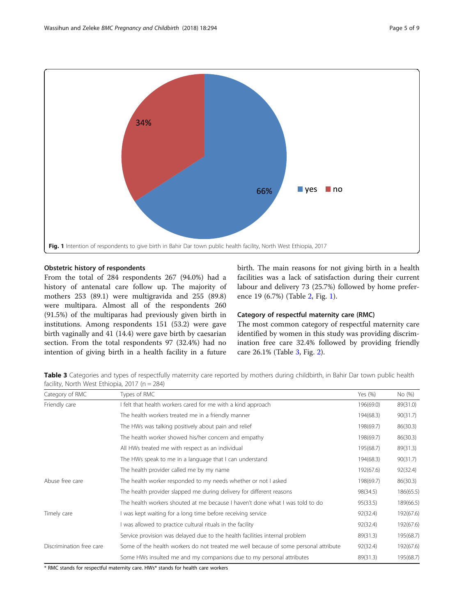

## Obstetric history of respondents

From the total of 284 respondents 267 (94.0%) had a history of antenatal care follow up. The majority of mothers 253 (89.1) were multigravida and 255 (89.8) were multipara. Almost all of the respondents 260 (91.5%) of the multiparas had previously given birth in institutions. Among respondents 151 (53.2) were gave birth vaginally and 41 (14.4) were gave birth by caesarian section. From the total respondents 97 (32.4%) had no intention of giving birth in a health facility in a future birth. The main reasons for not giving birth in a health facilities was a lack of satisfaction during their current labour and delivery 73 (25.7%) followed by home preference 19 (6.7%) (Table [2](#page-3-0), Fig. 1).

## Category of respectful maternity care (RMC)

The most common category of respectful maternity care identified by women in this study was providing discrimination free care 32.4% followed by providing friendly care 26.1% (Table 3, Fig. [2\)](#page-5-0).

Table 3 Categories and types of respectfully maternity care reported by mothers during childbirth, in Bahir Dar town public health facility, North West Ethiopia, 2017 (n = 284)

| Category of RMC          | Types of RMC                                                                         | Yes (%)   | No (%)    |
|--------------------------|--------------------------------------------------------------------------------------|-----------|-----------|
| Friendly care            | I felt that health workers cared for me with a kind approach                         | 196(69.0) | 89(31.0)  |
|                          | The health workers treated me in a friendly manner                                   | 194(68.3) | 90(31.7)  |
|                          | The HWs was talking positively about pain and relief                                 | 198(69.7) | 86(30.3)  |
|                          | The health worker showed his/her concern and empathy                                 | 198(69.7) | 86(30.3)  |
|                          | All HWs treated me with respect as an individual                                     | 195(68.7) | 89(31.3)  |
|                          | The HWs speak to me in a language that I can understand                              | 194(68.3) | 90(31.7)  |
|                          | The health provider called me by my name                                             | 192(67.6) | 92(32.4)  |
| Abuse free care          | The health worker responded to my needs whether or not I asked                       | 198(69.7) | 86(30.3)  |
|                          | The health provider slapped me during delivery for different reasons                 | 98(34.5)  | 186(65.5) |
|                          | The health workers shouted at me because I haven't done what I was told to do        | 95(33.5)  | 189(66.5) |
| Timely care              | I was kept waiting for a long time before receiving service                          | 92(32.4)  | 192(67.6) |
|                          | I was allowed to practice cultural rituals in the facility                           | 92(32.4)  | 192(67.6) |
|                          | Service provision was delayed due to the health facilities internal problem          | 89(31.3)  | 195(68.7) |
| Discrimination free care | Some of the health workers do not treated me well because of some personal attribute | 92(32.4)  | 192(67.6) |
|                          | Some HWs insulted me and my companions due to my personal attributes                 | 89(31.3)  | 195(68.7) |

\* RMC stands for respectful maternity care. HWs\* stands for health care workers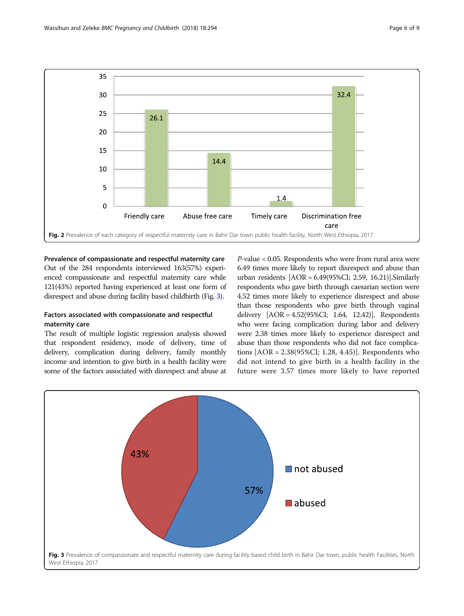<span id="page-5-0"></span>

## Prevalence of compassionate and respectful maternity care Out of the 284 respondents interviewed 163(57%) experienced compassionate and respectful maternity care while 121(43%) reported having experienced at least one form of

disrespect and abuse during facility based childbirth (Fig. 3).

# Factors associated with compassionate and respectful

## maternity care

The result of multiple logistic regression analysis showed that respondent residency, mode of delivery, time of delivery, complication during delivery, family monthly income and intention to give birth in a health facility were some of the factors associated with disrespect and abuse at

P-value < 0.05. Respondents who were from rural area were 6.49 times more likely to report disrespect and abuse than urban residents [AOR = 6.49(95%CI; 2.59, 16.21)].Similarly respondents who gave birth through caesarian section were 4.52 times more likely to experience disrespect and abuse than those respondents who gave birth through vaginal delivery [AOR = 4.52(95%CI; 1.64, 12.42)]. Respondents who were facing complication during labor and delivery were 2.38 times more likely to experience disrespect and abuse than those respondents who did not face complications [AOR = 2.38(95%CI; 1.28, 4.45)]. Respondents who did not intend to give birth in a health facility in the future were 3.57 times more likely to have reported

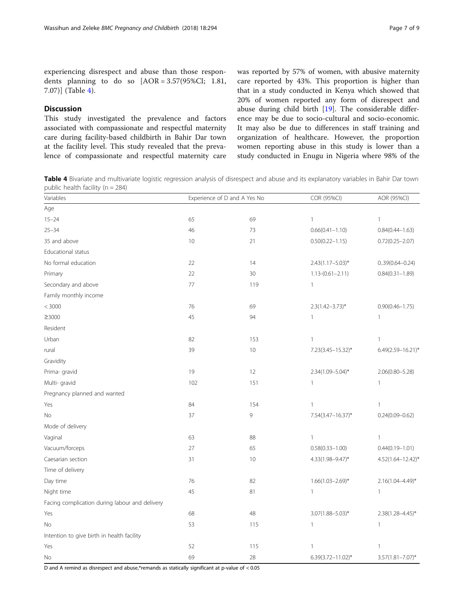experiencing disrespect and abuse than those respondents planning to do so [AOR = 3.57(95%CI; 1.81, 7.07)] (Table 4).

## **Discussion**

This study investigated the prevalence and factors associated with compassionate and respectful maternity care during facility-based childbirth in Bahir Dar town at the facility level. This study revealed that the prevalence of compassionate and respectful maternity care was reported by 57% of women, with abusive maternity care reported by 43%. This proportion is higher than that in a study conducted in Kenya which showed that 20% of women reported any form of disrespect and abuse during child birth [[19\]](#page-8-0). The considerable difference may be due to socio-cultural and socio-economic. It may also be due to differences in staff training and organization of healthcare. However, the proportion women reporting abuse in this study is lower than a study conducted in Enugu in Nigeria where 98% of the

Table 4 Bivariate and multivariate logistic regression analysis of disrespect and abuse and its explanatory variables in Bahir Dar town public health facility (n = 284)

| Variables                                      | Experience of D and A Yes No |     | COR (95%CI)           | AOR (95%CI)            |  |  |  |  |  |  |
|------------------------------------------------|------------------------------|-----|-----------------------|------------------------|--|--|--|--|--|--|
| Age                                            |                              |     |                       |                        |  |  |  |  |  |  |
| $15 - 24$                                      | 65                           | 69  | $\mathbf{1}$          | $\mathbf{1}$           |  |  |  |  |  |  |
| $25 - 34$                                      | 46                           | 73  | $0.66(0.41 - 1.10)$   | $0.84(0.44 - 1.63)$    |  |  |  |  |  |  |
| 35 and above                                   | 10                           | 21  | $0.50(0.22 - 1.15)$   | $0.72(0.25 - 2.07)$    |  |  |  |  |  |  |
| Educational status                             |                              |     |                       |                        |  |  |  |  |  |  |
| No formal education                            | 22                           | 14  | $2.43(1.17 - 5.03)^*$ | $0.39(0.64 - 0.24)$    |  |  |  |  |  |  |
| Primary                                        | 22                           | 30  | $1.13-(0.61-2.11)$    | $0.84(0.31 - 1.89)$    |  |  |  |  |  |  |
| Secondary and above                            | 77                           | 119 | $\mathbf{1}$          |                        |  |  |  |  |  |  |
| Family monthly income                          |                              |     |                       |                        |  |  |  |  |  |  |
| < 3000                                         | 76                           | 69  | $2.3(1.42 - 3.73)^*$  | $0.90(0.46 - 1.75)$    |  |  |  |  |  |  |
| ≥3000                                          | 45                           | 94  | $\mathbf{1}$          | $\mathbf{1}$           |  |  |  |  |  |  |
| Resident                                       |                              |     |                       |                        |  |  |  |  |  |  |
| Urban                                          | 82                           | 153 | $\mathbf{1}$          | 1                      |  |  |  |  |  |  |
| rural                                          | 39                           | 10  | 7.23(3.45-15.32)*     | $6.49(2.59 - 16.21)^*$ |  |  |  |  |  |  |
| Gravidity                                      |                              |     |                       |                        |  |  |  |  |  |  |
| Prima- gravid                                  | 19                           | 12  | $2.34(1.09 - 5.04)^*$ | $2.06(0.80 - 5.28)$    |  |  |  |  |  |  |
| Multi- gravid                                  | 102                          | 151 | $\mathbf{1}$          | $\mathbf{1}$           |  |  |  |  |  |  |
| Pregnancy planned and wanted                   |                              |     |                       |                        |  |  |  |  |  |  |
| Yes                                            | 84                           | 154 | $\mathbf{1}$          | $\mathbf{1}$           |  |  |  |  |  |  |
| No                                             | 37                           | 9   | 7.54(3.47-16.37)*     | $0.24(0.09 - 0.62)$    |  |  |  |  |  |  |
| Mode of delivery                               |                              |     |                       |                        |  |  |  |  |  |  |
| Vaginal                                        | 63                           | 88  | $\mathbf{1}$          | $\mathbf{1}$           |  |  |  |  |  |  |
| Vacuum/forceps                                 | 27                           | 65  | $0.58(0.33 - 1.00)$   | $0.44(0.19 - 1.01)$    |  |  |  |  |  |  |
| Caesarian section                              | 31                           | 10  | 4.33(1.98-9.47)*      | $4.52(1.64 - 12.42)^*$ |  |  |  |  |  |  |
| Time of delivery                               |                              |     |                       |                        |  |  |  |  |  |  |
| Day time                                       | 76                           | 82  | $1.66(1.03 - 2.69)^*$ | $2.16(1.04 - 4.49)^*$  |  |  |  |  |  |  |
| Night time                                     | 45                           | 81  | 1                     | $\mathbf{1}$           |  |  |  |  |  |  |
| Facing complication during labour and delivery |                              |     |                       |                        |  |  |  |  |  |  |
| Yes                                            | 68                           | 48  | $3.07(1.88 - 5.03)^*$ | $2.38(1.28 - 4.45)^*$  |  |  |  |  |  |  |
| <b>No</b>                                      | 53                           | 115 | $\mathbf{1}$          | $\mathbf{1}$           |  |  |  |  |  |  |
| Intention to give birth in health facility     |                              |     |                       |                        |  |  |  |  |  |  |
| Yes                                            | 52                           | 115 | 1                     | $\mathbf{1}$           |  |  |  |  |  |  |
| No                                             | 69                           | 28  | 6.39(3.72-11.02)*     | $3.57(1.81 - 7.07)^*$  |  |  |  |  |  |  |

D and A remind as disrespect and abuse,\*remands as statically significant at p-value of < 0.05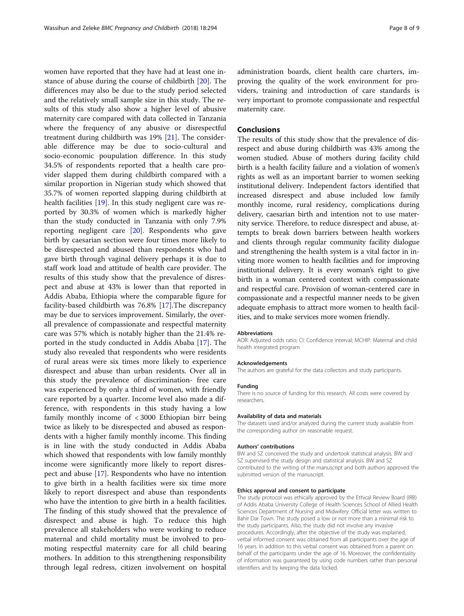women have reported that they have had at least one instance of abuse during the course of childbirth [\[20\]](#page-8-0). The differences may also be due to the study period selected and the relatively small sample size in this study. The results of this study also show a higher level of abusive maternity care compared with data collected in Tanzania where the frequency of any abusive or disrespectful treatment during childbirth was 19% [[21\]](#page-8-0). The considerable difference may be due to socio-cultural and socio-economic poupulation difference. In this study 34.5% of respondents reported that a health care provider slapped them during childbirth compared with a similar proportion in Nigerian study which showed that 35.7% of women reported slapping during childbirth at health facilities [\[19\]](#page-8-0). In this study negligent care was reported by 30.3% of women which is markedly higher than the study conducted in Tanzania with only 7.9% reporting negligent care [\[20\]](#page-8-0). Respondents who gave birth by caesarian section were four times more likely to be disrespected and abused than respondents who had gave birth through vaginal delivery perhaps it is due to staff work load and attitude of health care provider. The results of this study show that the prevalence of disrespect and abuse at 43% is lower than that reported in Addis Ababa, Ethiopia where the comparable figure for facility-based childbirth was 76.8% [[17](#page-8-0)].The discrepancy may be due to services improvement. Similarly, the overall prevalence of compassionate and respectful maternity care was 57% which is notably higher than the 21.4% reported in the study conducted in Addis Ababa [[17\]](#page-8-0). The study also revealed that respondents who were residents of rural areas were six times more likely to experience disrespect and abuse than urban residents. Over all in this study the prevalence of discrimination- free care was experienced by only a third of women, with friendly care reported by a quarter. Income level also made a difference, with respondents in this study having a low family monthly income of < 3000 Ethiopian birr being twice as likely to be disrespected and abused as respondents with a higher family monthly income. This finding is in line with the study conducted in Addis Ababa which showed that respondents with low family monthly income were significantly more likely to report disrespect and abuse [\[17](#page-8-0)]. Respondents who have no intention to give birth in a health facilities were six time more likely to report disrespect and abuse than respondents who have the intention to give birth in a health facilities. The finding of this study showed that the prevalence of disrespect and abuse is high. To reduce this high prevalence all stakeholders who were working to reduce maternal and child mortality must be involved to promoting respectful maternity care for all child bearing mothers. In addition to this strengthening responsibility through legal redress, citizen involvement on hospital administration boards, client health care charters, improving the quality of the work environment for providers, training and introduction of care standards is very important to promote compassionate and respectful maternity care.

## Conclusions

The results of this study show that the prevalence of disrespect and abuse during childbirth was 43% among the women studied. Abuse of mothers during facility child birth is a health facility failure and a violation of women's rights as well as an important barrier to women seeking institutional delivery. Independent factors identified that increased disrespect and abuse included low family monthly income, rural residency, complications during delivery, caesarian birth and intention not to use maternity service. Therefore, to reduce disrespect and abuse, attempts to break down barriers between health workers and clients through regular community facility dialogue and strengthening the health system is a vital factor in inviting more women to health facilities and for improving institutional delivery. It is every woman's right to give birth in a woman centered context with compassionate and respectful care. Provision of woman-centered care in compassionate and a respectful manner needs to be given adequate emphasis to attract more women to health facilities, and to make services more women friendly.

#### Abbreviations

AOR: Adjusted odds ratio; CI: Confidence interval; MCHIP: Maternal and child health integrated program

#### Acknowledgements

The authors are grateful for the data collectors and study participants.

#### Funding

There is no source of funding for this research. All costs were covered by researchers.

#### Availability of data and materials

The datasets used and/or analyzed during the current study available from the corresponding author on reasonable request.

#### Authors' contributions

BW and SZ conceived the study and undertook statistical analysis. BW and SZ supervised the study design and statistical analysis. BW and SZ contributed to the writing of the manuscript and both authors approved the submitted version of the manuscript.

#### Ethics approval and consent to participate

The study protocol was ethically approved by the Ethical Review Board (IRB) of Addis Ababa University College of Health Sciences School of Allied Health Sciences Department of Nursing and Midwifery. Official letter was written to Bahir Dar Town. The study posed a low or not more than a minimal risk to the study participants. Also, the study did not involve any invasive procedures. Accordingly, after the objective of the study was explained, verbal informed consent was obtained from all participants over the age of 16 years. In addition to this verbal consent was obtained from a parent on behalf of the participants under the age of 16. Moreover, the confidentiality of information was guaranteed by using code numbers rather than personal identifiers and by keeping the data locked.